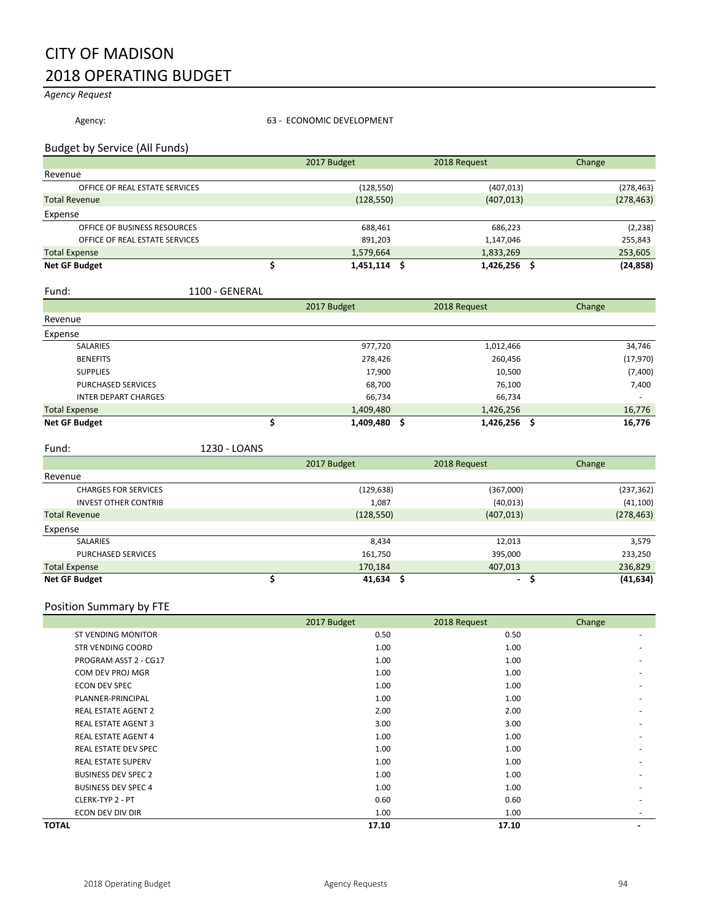# CITY OF MADISON 2018 OPERATING BUDGET

*Agency Request*

Agency: **63 - ECONOMIC DEVELOPMENT** 

## Budget by Service (All Funds)

|                                | 2017 Budget | 2018 Request | Change     |            |
|--------------------------------|-------------|--------------|------------|------------|
| Revenue                        |             |              |            |            |
| OFFICE OF REAL ESTATE SERVICES |             | (128, 550)   | (407, 013) | (278, 463) |
| <b>Total Revenue</b>           |             | (128, 550)   | (407, 013) | (278, 463) |
| Expense                        |             |              |            |            |
| OFFICE OF BUSINESS RESOURCES   |             | 688,461      | 686,223    | (2, 238)   |
| OFFICE OF REAL ESTATE SERVICES |             | 891,203      | 1,147,046  | 255,843    |
| <b>Total Expense</b>           |             | 1,579,664    | 1,833,269  | 253,605    |
| <b>Net GF Budget</b>           |             | 1,451,114    | 1,426,256  | (24, 858)  |

#### Fund: 1100 - GENERAL

|                             | 2017 Budget  | 2018 Request | Change      |
|-----------------------------|--------------|--------------|-------------|
| Revenue                     |              |              |             |
| Expense                     |              |              |             |
| SALARIES                    | 977,720      | 1,012,466    | 34,746      |
| <b>BENEFITS</b>             | 278,426      | 260,456      | (17, 970)   |
| <b>SUPPLIES</b>             | 17,900       | 10,500       | (7,400)     |
| <b>PURCHASED SERVICES</b>   | 68,700       | 76,100       | 7,400       |
| <b>INTER DEPART CHARGES</b> | 66,734       | 66,734       |             |
| <b>Total Expense</b>        | 1,409,480    | 1,426,256    | 16,776      |
| <b>Net GF Budget</b>        | 1,409,480 \$ | 1,426,256    | 16,776<br>S |

#### Fund: 1230 - LOANS 1250

|                             | 2017 Budget | 2018 Request | Change     |
|-----------------------------|-------------|--------------|------------|
| Revenue                     |             |              |            |
| <b>CHARGES FOR SERVICES</b> | (129, 638)  | (367,000)    | (237, 362) |
| <b>INVEST OTHER CONTRIB</b> | 1,087       | (40, 013)    | (41, 100)  |
| <b>Total Revenue</b>        | (128, 550)  | (407, 013)   | (278, 463) |
| Expense                     |             |              |            |
| SALARIES                    | 8,434       | 12,013       | 3,579      |
| <b>PURCHASED SERVICES</b>   | 161,750     | 395,000      | 233,250    |
| <b>Total Expense</b>        | 170,184     | 407,013      | 236,829    |
| <b>Net GF Budget</b>        | 41,634      | ۰.           | (41,634)   |

#### Position Summary by FTE

|                             | 2017 Budget | 2018 Request | Change |
|-----------------------------|-------------|--------------|--------|
| <b>ST VENDING MONITOR</b>   | 0.50        | 0.50         | ۰      |
| <b>STR VENDING COORD</b>    | 1.00        | 1.00         |        |
| PROGRAM ASST 2 - CG17       | 1.00        | 1.00         |        |
| COM DEV PROJ MGR            | 1.00        | 1.00         |        |
| <b>ECON DEV SPEC</b>        | 1.00        | 1.00         |        |
| PLANNER-PRINCIPAL           | 1.00        | 1.00         |        |
| <b>REAL ESTATE AGENT 2</b>  | 2.00        | 2.00         |        |
| <b>REAL ESTATE AGENT 3</b>  | 3.00        | 3.00         |        |
| <b>REAL ESTATE AGENT 4</b>  | 1.00        | 1.00         |        |
| <b>REAL ESTATE DEV SPEC</b> | 1.00        | 1.00         |        |
| <b>REAL ESTATE SUPERV</b>   | 1.00        | 1.00         |        |
| <b>BUSINESS DEV SPEC 2</b>  | 1.00        | 1.00         |        |
| <b>BUSINESS DEV SPEC 4</b>  | 1.00        | 1.00         |        |
| CLERK-TYP 2 - PT            | 0.60        | 0.60         | ۰      |
| ECON DEV DIV DIR            | 1.00        | 1.00         |        |
| <b>TOTAL</b>                | 17.10       | 17.10        |        |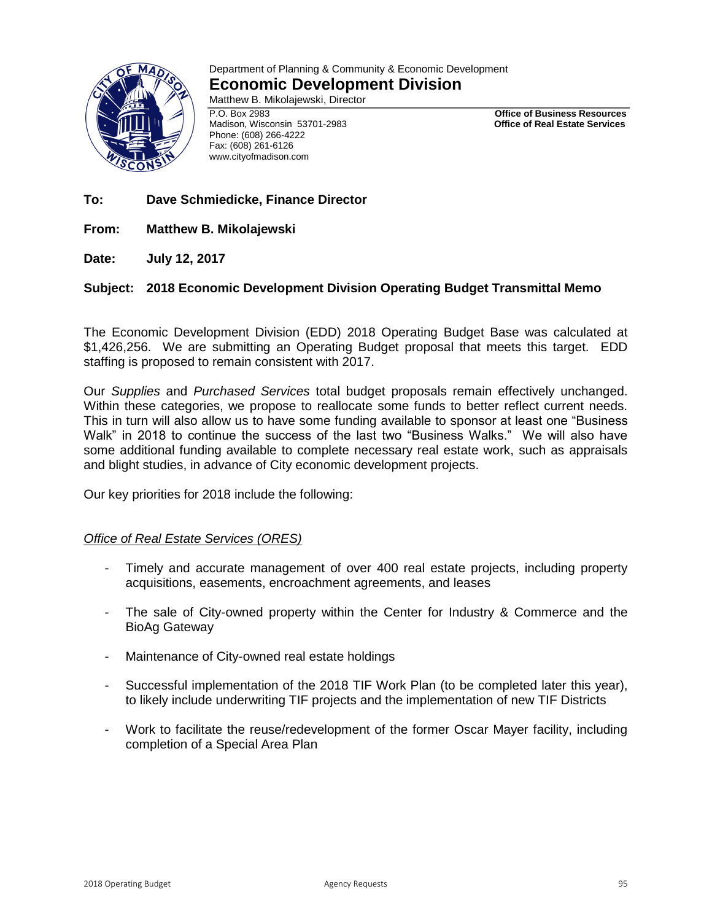

# Department of Planning & Community & Economic Development **Economic Development Division**

Matthew B. Mikolajewski, Director

P.O. Box 2983 **Office of Business Resources** Madison, Wisconsin 53701-2983 Phone: (608) 266-4222 Fax: (608) 261-6126 www.cityofmadison.com

- **To: Dave Schmiedicke, Finance Director**
- **From: Matthew B. Mikolajewski**

**Date: July 12, 2017** 

# **Subject: 2018 Economic Development Division Operating Budget Transmittal Memo**

The Economic Development Division (EDD) 2018 Operating Budget Base was calculated at \$1,426,256. We are submitting an Operating Budget proposal that meets this target. EDD staffing is proposed to remain consistent with 2017.

Our *Supplies* and *Purchased Services* total budget proposals remain effectively unchanged. Within these categories, we propose to reallocate some funds to better reflect current needs. This in turn will also allow us to have some funding available to sponsor at least one "Business Walk" in 2018 to continue the success of the last two "Business Walks." We will also have some additional funding available to complete necessary real estate work, such as appraisals and blight studies, in advance of City economic development projects.

Our key priorities for 2018 include the following:

# *Office of Real Estate Services (ORES)*

- Timely and accurate management of over 400 real estate projects, including property acquisitions, easements, encroachment agreements, and leases
- The sale of City-owned property within the Center for Industry & Commerce and the BioAg Gateway
- Maintenance of City-owned real estate holdings
- Successful implementation of the 2018 TIF Work Plan (to be completed later this year), to likely include underwriting TIF projects and the implementation of new TIF Districts
- Work to facilitate the reuse/redevelopment of the former Oscar Mayer facility, including completion of a Special Area Plan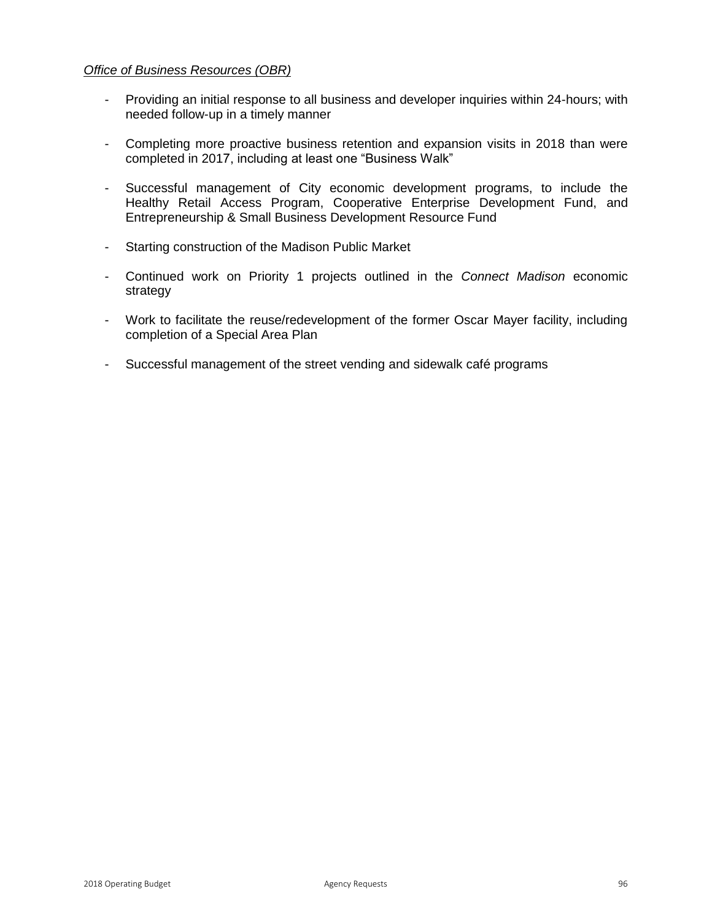# *Office of Business Resources (OBR)*

- Providing an initial response to all business and developer inquiries within 24-hours; with needed follow-up in a timely manner
- Completing more proactive business retention and expansion visits in 2018 than were completed in 2017, including at least one "Business Walk"
- Successful management of City economic development programs, to include the Healthy Retail Access Program, Cooperative Enterprise Development Fund, and Entrepreneurship & Small Business Development Resource Fund
- Starting construction of the Madison Public Market
- Continued work on Priority 1 projects outlined in the *Connect Madison* economic strategy
- Work to facilitate the reuse/redevelopment of the former Oscar Mayer facility, including completion of a Special Area Plan
- Successful management of the street vending and sidewalk café programs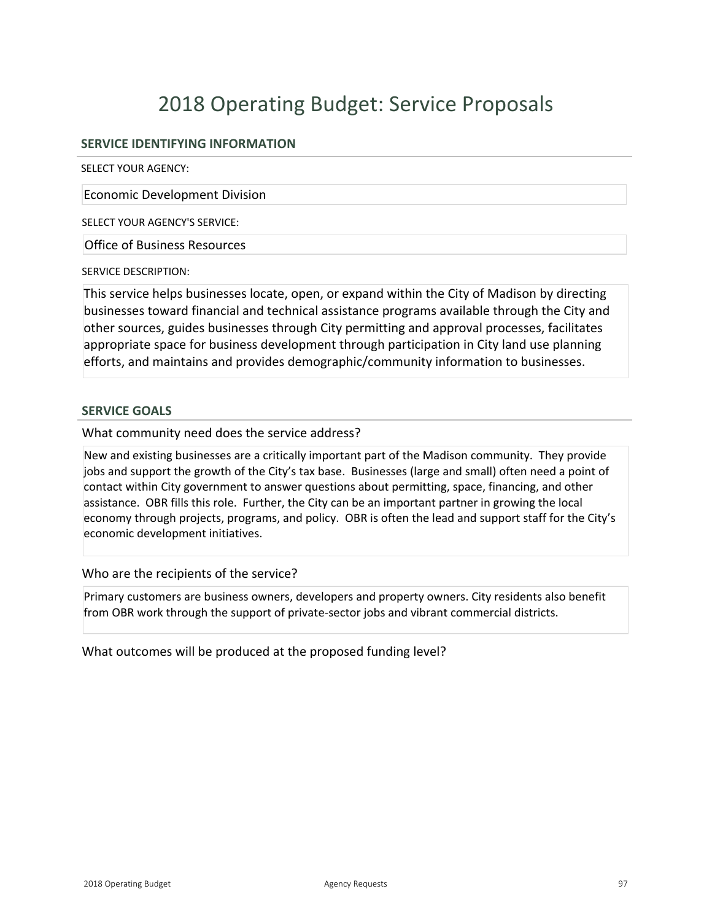# 2018 Operating Budget: Service Proposals

# **SERVICE IDENTIFYING INFORMATION**

SELECT YOUR AGENCY:

Economic Development Division

SELECT YOUR AGENCY'S SERVICE:

Office of Business Resources

SERVICE DESCRIPTION:

This service helps businesses locate, open, or expand within the City of Madison by directing businesses toward financial and technical assistance programs available through the City and other sources, guides businesses through City permitting and approval processes, facilitates appropriate space for business development through participation in City land use planning efforts, and maintains and provides demographic/community information to businesses.

## **SERVICE GOALS**

What community need does the service address?

New and existing businesses are a critically important part of the Madison community. They provide jobs and support the growth of the City's tax base. Businesses (large and small) often need a point of contact within City government to answer questions about permitting, space, financing, and other assistance. OBR fills this role. Further, the City can be an important partner in growing the local economy through projects, programs, and policy. OBR is often the lead and support staff for the City's economic development initiatives.

Who are the recipients of the service?

Primary customers are business owners, developers and property owners. City residents also benefit from OBR work through the support of private-sector jobs and vibrant commercial districts.

What outcomes will be produced at the proposed funding level?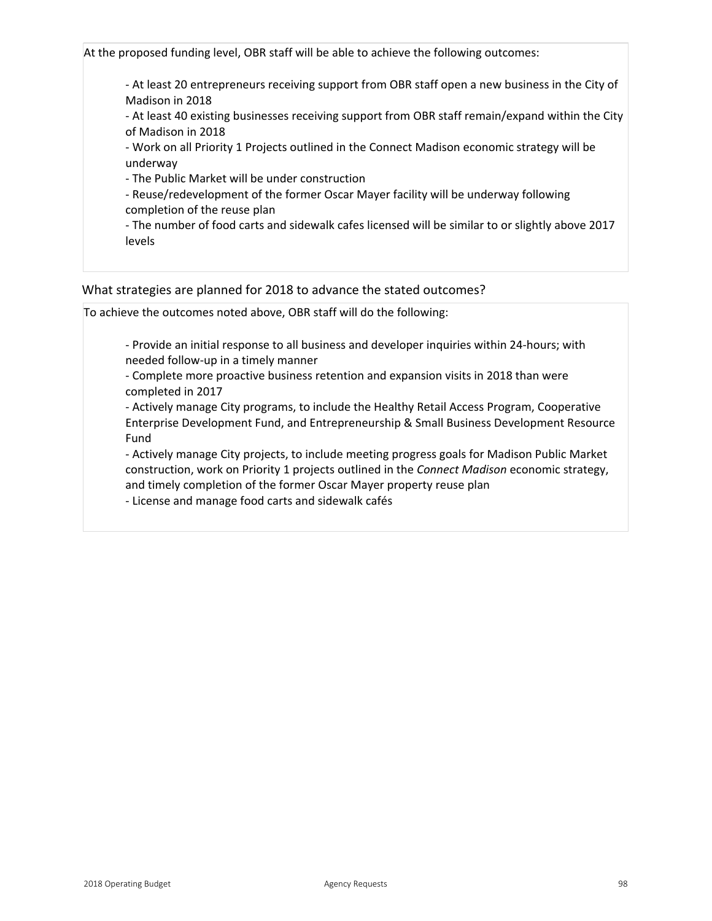At the proposed funding level, OBR staff will be able to achieve the following outcomes:

 At least 20 entrepreneurs receiving support from OBR staff open a new business in the City of Madison in 2018

 At least 40 existing businesses receiving support from OBR staff remain/expand within the City of Madison in 2018

 Work on all Priority 1 Projects outlined in the Connect Madison economic strategy will be underway

The Public Market will be under construction

 Reuse/redevelopment of the former Oscar Mayer facility will be underway following completion of the reuse plan

 The number of food carts and sidewalk cafes licensed will be similar to or slightly above 2017 levels

## What strategies are planned for 2018 to advance the stated outcomes?

To achieve the outcomes noted above, OBR staff will do the following:

- Provide an initial response to all business and developer inquiries within 24-hours; with needed follow-up in a timely manner

 Complete more proactive business retention and expansion visits in 2018 than were completed in 2017

 Actively manage City programs, to include the Healthy Retail Access Program, Cooperative Enterprise Development Fund, and Entrepreneurship & Small Business Development Resource Fund

 Actively manage City projects, to include meeting progress goals for Madison Public Market construction, work on Priority 1 projects outlined in the *Connect Madison* economic strategy, and timely completion of the former Oscar Mayer property reuse plan

License and manage food carts and sidewalk cafés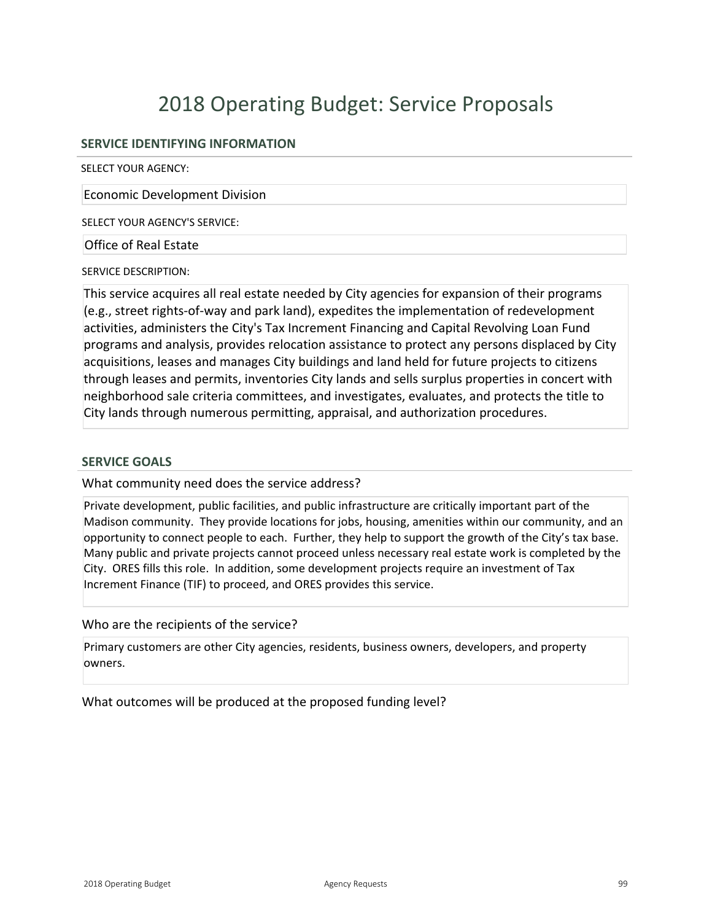# 2018 Operating Budget: Service Proposals

# **SERVICE IDENTIFYING INFORMATION**

SELECT YOUR AGENCY:

Economic Development Division

SELECT YOUR AGENCY'S SERVICE:

Office of Real Estate

SERVICE DESCRIPTION:

This service acquires all real estate needed by City agencies for expansion of their programs  $(e.g., street rights-of-way and park land)$ , expedites the implementation of redevelopment activities, administers the City's Tax Increment Financing and Capital Revolving Loan Fund programs and analysis, provides relocation assistance to protect any persons displaced by City acquisitions, leases and manages City buildings and land held for future projects to citizens through leases and permits, inventories City lands and sells surplus properties in concert with neighborhood sale criteria committees, and investigates, evaluates, and protects the title to City lands through numerous permitting, appraisal, and authorization procedures.

#### **SERVICE GOALS**

What community need does the service address?

Private development, public facilities, and public infrastructure are critically important part of the Madison community. They provide locations for jobs, housing, amenities within our community, and an opportunity to connect people to each. Further, they help to support the growth of the City's tax base. Many public and private projects cannot proceed unless necessary real estate work is completed by the City. ORES fills this role. In addition, some development projects require an investment of Tax Increment Finance (TIF) to proceed, and ORES provides this service.

Who are the recipients of the service?

Primary customers are other City agencies, residents, business owners, developers, and property owners.

What outcomes will be produced at the proposed funding level?